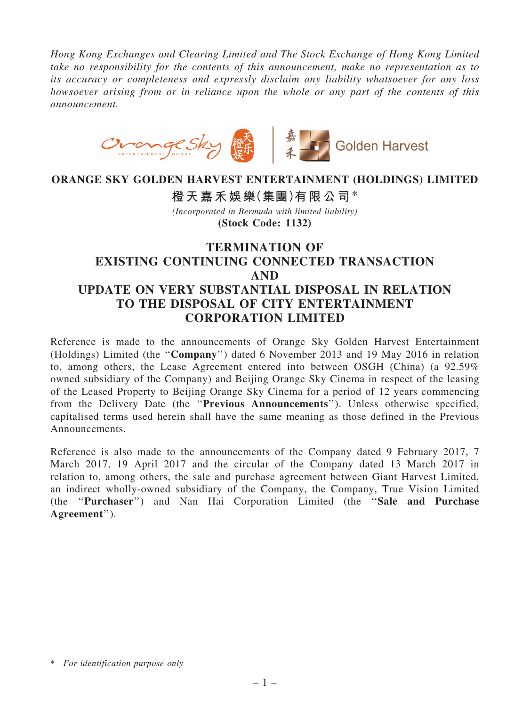*Hong Kong Exchanges and Clearing Limited and The Stock Exchange of Hong Kong Limited take no responsibility for the contents of this announcement, make no representation as to its accuracy or completeness and expressly disclaim any liability whatsoever for any loss howsoever arising from or in reliance upon the whole or any part of the contents of this announcement.*



## ORANGE SKY GOLDEN HARVEST ENTERTAINMENT (HOLDINGS) LIMITED

橙天嘉禾娛樂(集團)有限公司\*

*(Incorporated in Bermuda with limited liability)* (Stock Code: 1132)

# TERMINATION OF EXISTING CONTINUING CONNECTED TRANSACTION AND UPDATE ON VERY SUBSTANTIAL DISPOSAL IN RELATION TO THE DISPOSAL OF CITY ENTERTAINMENT CORPORATION LIMITED

Reference is made to the announcements of Orange Sky Golden Harvest Entertainment (Holdings) Limited (the ''Company'') dated 6 November 2013 and 19 May 2016 in relation to, among others, the Lease Agreement entered into between OSGH (China) (a 92.59% owned subsidiary of the Company) and Beijing Orange Sky Cinema in respect of the leasing of the Leased Property to Beijing Orange Sky Cinema for a period of 12 years commencing from the Delivery Date (the ''Previous Announcements''). Unless otherwise specified, capitalised terms used herein shall have the same meaning as those defined in the Previous Announcements.

Reference is also made to the announcements of the Company dated 9 February 2017, 7 March 2017, 19 April 2017 and the circular of the Company dated 13 March 2017 in relation to, among others, the sale and purchase agreement between Giant Harvest Limited, an indirect wholly-owned subsidiary of the Company, the Company, True Vision Limited (the ''Purchaser'') and Nan Hai Corporation Limited (the ''Sale and Purchase Agreement'').

<sup>\*</sup> *For identification purpose only*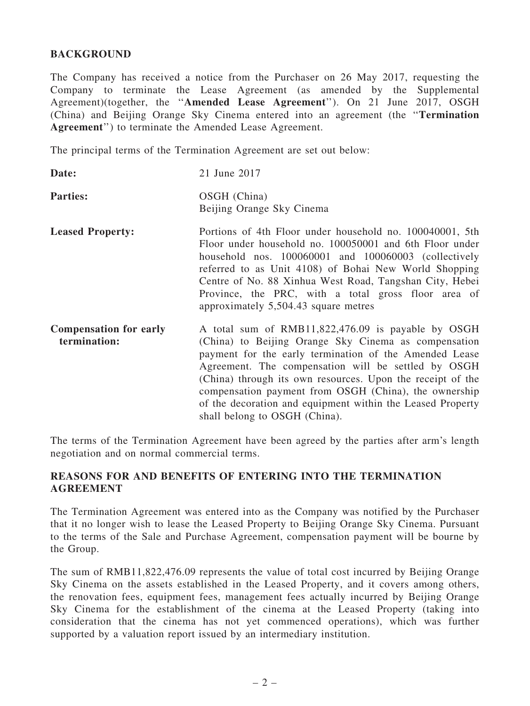## BACKGROUND

The Company has received a notice from the Purchaser on 26 May 2017, requesting the Company to terminate the Lease Agreement (as amended by the Supplemental Agreement)(together, the ''Amended Lease Agreement''). On 21 June 2017, OSGH (China) and Beijing Orange Sky Cinema entered into an agreement (the ''Termination Agreement'') to terminate the Amended Lease Agreement.

The principal terms of the Termination Agreement are set out below:

| Date:                                         | 21 June 2017                                                                                                                                                                                                                                                                                                                                                                                                                                      |
|-----------------------------------------------|---------------------------------------------------------------------------------------------------------------------------------------------------------------------------------------------------------------------------------------------------------------------------------------------------------------------------------------------------------------------------------------------------------------------------------------------------|
| <b>Parties:</b>                               | OSGH (China)<br>Beijing Orange Sky Cinema                                                                                                                                                                                                                                                                                                                                                                                                         |
| <b>Leased Property:</b>                       | Portions of 4th Floor under household no. 100040001, 5th<br>Floor under household no. 100050001 and 6th Floor under<br>household nos. 100060001 and 100060003 (collectively<br>referred to as Unit 4108) of Bohai New World Shopping<br>Centre of No. 88 Xinhua West Road, Tangshan City, Hebei<br>Province, the PRC, with a total gross floor area of<br>approximately 5,504.43 square metres                                                    |
| <b>Compensation for early</b><br>termination: | A total sum of RMB11,822,476.09 is payable by OSGH<br>(China) to Beijing Orange Sky Cinema as compensation<br>payment for the early termination of the Amended Lease<br>Agreement. The compensation will be settled by OSGH<br>(China) through its own resources. Upon the receipt of the<br>compensation payment from OSGH (China), the ownership<br>of the decoration and equipment within the Leased Property<br>shall belong to OSGH (China). |

The terms of the Termination Agreement have been agreed by the parties after arm's length negotiation and on normal commercial terms.

#### REASONS FOR AND BENEFITS OF ENTERING INTO THE TERMINATION AGREEMENT

The Termination Agreement was entered into as the Company was notified by the Purchaser that it no longer wish to lease the Leased Property to Beijing Orange Sky Cinema. Pursuant to the terms of the Sale and Purchase Agreement, compensation payment will be bourne by the Group.

The sum of RMB11,822,476.09 represents the value of total cost incurred by Beijing Orange Sky Cinema on the assets established in the Leased Property, and it covers among others, the renovation fees, equipment fees, management fees actually incurred by Beijing Orange Sky Cinema for the establishment of the cinema at the Leased Property (taking into consideration that the cinema has not yet commenced operations), which was further supported by a valuation report issued by an intermediary institution.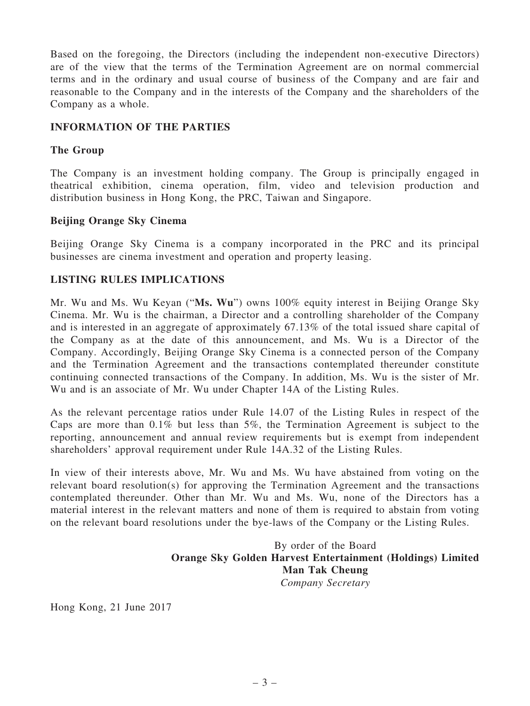Based on the foregoing, the Directors (including the independent non-executive Directors) are of the view that the terms of the Termination Agreement are on normal commercial terms and in the ordinary and usual course of business of the Company and are fair and reasonable to the Company and in the interests of the Company and the shareholders of the Company as a whole.

## INFORMATION OF THE PARTIES

## The Group

The Company is an investment holding company. The Group is principally engaged in theatrical exhibition, cinema operation, film, video and television production and distribution business in Hong Kong, the PRC, Taiwan and Singapore.

## Beijing Orange Sky Cinema

Beijing Orange Sky Cinema is a company incorporated in the PRC and its principal businesses are cinema investment and operation and property leasing.

## LISTING RULES IMPLICATIONS

Mr. Wu and Ms. Wu Keyan ("Ms. Wu") owns 100% equity interest in Beijing Orange Sky Cinema. Mr. Wu is the chairman, a Director and a controlling shareholder of the Company and is interested in an aggregate of approximately 67.13% of the total issued share capital of the Company as at the date of this announcement, and Ms. Wu is a Director of the Company. Accordingly, Beijing Orange Sky Cinema is a connected person of the Company and the Termination Agreement and the transactions contemplated thereunder constitute continuing connected transactions of the Company. In addition, Ms. Wu is the sister of Mr. Wu and is an associate of Mr. Wu under Chapter 14A of the Listing Rules.

As the relevant percentage ratios under Rule 14.07 of the Listing Rules in respect of the Caps are more than 0.1% but less than 5%, the Termination Agreement is subject to the reporting, announcement and annual review requirements but is exempt from independent shareholders' approval requirement under Rule 14A.32 of the Listing Rules.

In view of their interests above, Mr. Wu and Ms. Wu have abstained from voting on the relevant board resolution(s) for approving the Termination Agreement and the transactions contemplated thereunder. Other than Mr. Wu and Ms. Wu, none of the Directors has a material interest in the relevant matters and none of them is required to abstain from voting on the relevant board resolutions under the bye-laws of the Company or the Listing Rules.

> By order of the Board Orange Sky Golden Harvest Entertainment (Holdings) Limited Man Tak Cheung *Company Secretary*

Hong Kong, 21 June 2017